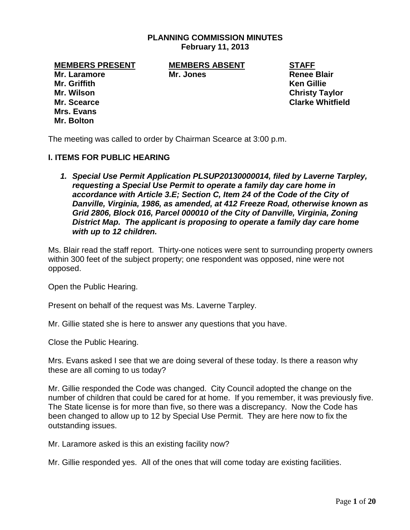### **PLANNING COMMISSION MINUTES February 11, 2013**

**Mr. Laramore Mr. Jones Renee Blair Mr. Griffith Ken Gillie Mr. Wilson Christy Taylor Mr. Scearce Clarke Whitfield Mrs. Evans Mr. Bolton**

**MEMBERS PRESENT MEMBERS ABSENT STAFF**

The meeting was called to order by Chairman Scearce at 3:00 p.m.

### **I. ITEMS FOR PUBLIC HEARING**

*1. Special Use Permit Application PLSUP20130000014, filed by Laverne Tarpley, requesting a Special Use Permit to operate a family day care home in accordance with Article 3.E; Section C, Item 24 of the Code of the City of Danville, Virginia, 1986, as amended, at 412 Freeze Road, otherwise known as Grid 2806, Block 016, Parcel 000010 of the City of Danville, Virginia, Zoning District Map. The applicant is proposing to operate a family day care home with up to 12 children.* 

Ms. Blair read the staff report. Thirty-one notices were sent to surrounding property owners within 300 feet of the subject property; one respondent was opposed, nine were not opposed.

Open the Public Hearing.

Present on behalf of the request was Ms. Laverne Tarpley.

Mr. Gillie stated she is here to answer any questions that you have.

Close the Public Hearing.

Mrs. Evans asked I see that we are doing several of these today. Is there a reason why these are all coming to us today?

Mr. Gillie responded the Code was changed. City Council adopted the change on the number of children that could be cared for at home. If you remember, it was previously five. The State license is for more than five, so there was a discrepancy. Now the Code has been changed to allow up to 12 by Special Use Permit. They are here now to fix the outstanding issues.

Mr. Laramore asked is this an existing facility now?

Mr. Gillie responded yes. All of the ones that will come today are existing facilities.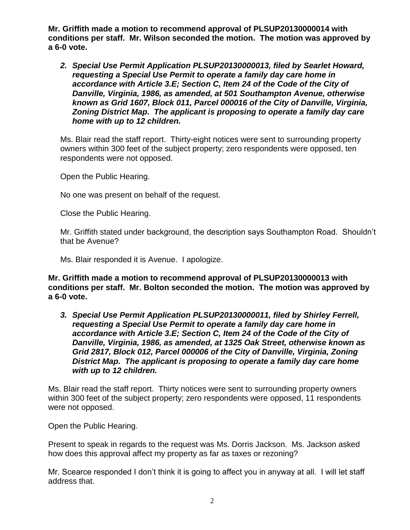**Mr. Griffith made a motion to recommend approval of PLSUP20130000014 with conditions per staff. Mr. Wilson seconded the motion. The motion was approved by a 6-0 vote.**

*2. Special Use Permit Application PLSUP20130000013, filed by Searlet Howard, requesting a Special Use Permit to operate a family day care home in accordance with Article 3.E; Section C, Item 24 of the Code of the City of Danville, Virginia, 1986, as amended, at 501 Southampton Avenue, otherwise known as Grid 1607, Block 011, Parcel 000016 of the City of Danville, Virginia, Zoning District Map. The applicant is proposing to operate a family day care home with up to 12 children.* 

Ms. Blair read the staff report. Thirty-eight notices were sent to surrounding property owners within 300 feet of the subject property; zero respondents were opposed, ten respondents were not opposed.

Open the Public Hearing.

No one was present on behalf of the request.

Close the Public Hearing.

Mr. Griffith stated under background, the description says Southampton Road. Shouldn't that be Avenue?

Ms. Blair responded it is Avenue. I apologize.

**Mr. Griffith made a motion to recommend approval of PLSUP20130000013 with conditions per staff. Mr. Bolton seconded the motion. The motion was approved by a 6-0 vote.**

*3. Special Use Permit Application PLSUP20130000011, filed by Shirley Ferrell, requesting a Special Use Permit to operate a family day care home in accordance with Article 3.E; Section C, Item 24 of the Code of the City of Danville, Virginia, 1986, as amended, at 1325 Oak Street, otherwise known as Grid 2817, Block 012, Parcel 000006 of the City of Danville, Virginia, Zoning District Map. The applicant is proposing to operate a family day care home with up to 12 children.*

Ms. Blair read the staff report. Thirty notices were sent to surrounding property owners within 300 feet of the subject property; zero respondents were opposed, 11 respondents were not opposed.

Open the Public Hearing.

Present to speak in regards to the request was Ms. Dorris Jackson. Ms. Jackson asked how does this approval affect my property as far as taxes or rezoning?

Mr. Scearce responded I don't think it is going to affect you in anyway at all. I will let staff address that.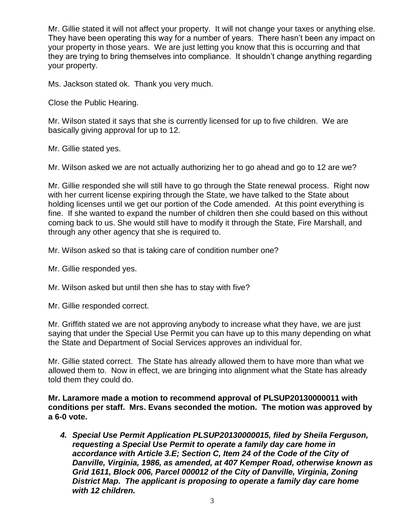Mr. Gillie stated it will not affect your property. It will not change your taxes or anything else. They have been operating this way for a number of years. There hasn't been any impact on your property in those years. We are just letting you know that this is occurring and that they are trying to bring themselves into compliance. It shouldn't change anything regarding your property.

Ms. Jackson stated ok. Thank you very much.

Close the Public Hearing.

Mr. Wilson stated it says that she is currently licensed for up to five children. We are basically giving approval for up to 12.

Mr. Gillie stated yes.

Mr. Wilson asked we are not actually authorizing her to go ahead and go to 12 are we?

Mr. Gillie responded she will still have to go through the State renewal process. Right now with her current license expiring through the State, we have talked to the State about holding licenses until we get our portion of the Code amended. At this point everything is fine. If she wanted to expand the number of children then she could based on this without coming back to us. She would still have to modify it through the State, Fire Marshall, and through any other agency that she is required to.

Mr. Wilson asked so that is taking care of condition number one?

Mr. Gillie responded yes.

Mr. Wilson asked but until then she has to stay with five?

Mr. Gillie responded correct.

Mr. Griffith stated we are not approving anybody to increase what they have, we are just saying that under the Special Use Permit you can have up to this many depending on what the State and Department of Social Services approves an individual for.

Mr. Gillie stated correct. The State has already allowed them to have more than what we allowed them to. Now in effect, we are bringing into alignment what the State has already told them they could do.

**Mr. Laramore made a motion to recommend approval of PLSUP20130000011 with conditions per staff. Mrs. Evans seconded the motion. The motion was approved by a 6-0 vote.**

*4. Special Use Permit Application PLSUP20130000015, filed by Sheila Ferguson, requesting a Special Use Permit to operate a family day care home in accordance with Article 3.E; Section C, Item 24 of the Code of the City of Danville, Virginia, 1986, as amended, at 407 Kemper Road, otherwise known as Grid 1611, Block 006, Parcel 000012 of the City of Danville, Virginia, Zoning District Map. The applicant is proposing to operate a family day care home with 12 children.*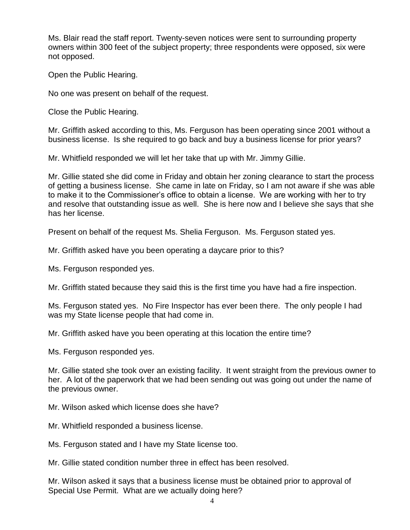Ms. Blair read the staff report. Twenty-seven notices were sent to surrounding property owners within 300 feet of the subject property; three respondents were opposed, six were not opposed.

Open the Public Hearing.

No one was present on behalf of the request.

Close the Public Hearing.

Mr. Griffith asked according to this, Ms. Ferguson has been operating since 2001 without a business license. Is she required to go back and buy a business license for prior years?

Mr. Whitfield responded we will let her take that up with Mr. Jimmy Gillie.

Mr. Gillie stated she did come in Friday and obtain her zoning clearance to start the process of getting a business license. She came in late on Friday, so I am not aware if she was able to make it to the Commissioner's office to obtain a license. We are working with her to try and resolve that outstanding issue as well. She is here now and I believe she says that she has her license.

Present on behalf of the request Ms. Shelia Ferguson. Ms. Ferguson stated yes.

Mr. Griffith asked have you been operating a daycare prior to this?

Ms. Ferguson responded yes.

Mr. Griffith stated because they said this is the first time you have had a fire inspection.

Ms. Ferguson stated yes. No Fire Inspector has ever been there. The only people I had was my State license people that had come in.

Mr. Griffith asked have you been operating at this location the entire time?

Ms. Ferguson responded yes.

Mr. Gillie stated she took over an existing facility. It went straight from the previous owner to her. A lot of the paperwork that we had been sending out was going out under the name of the previous owner.

Mr. Wilson asked which license does she have?

Mr. Whitfield responded a business license.

Ms. Ferguson stated and I have my State license too.

Mr. Gillie stated condition number three in effect has been resolved.

Mr. Wilson asked it says that a business license must be obtained prior to approval of Special Use Permit. What are we actually doing here?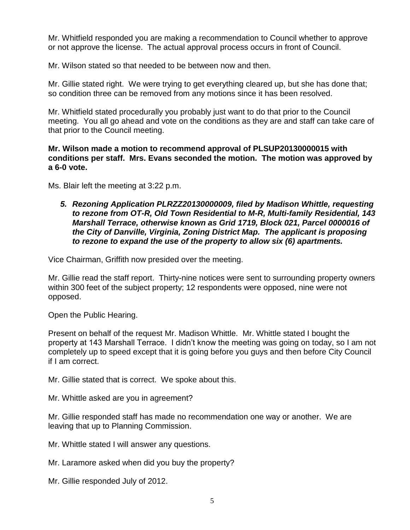Mr. Whitfield responded you are making a recommendation to Council whether to approve or not approve the license. The actual approval process occurs in front of Council.

Mr. Wilson stated so that needed to be between now and then.

Mr. Gillie stated right. We were trying to get everything cleared up, but she has done that; so condition three can be removed from any motions since it has been resolved.

Mr. Whitfield stated procedurally you probably just want to do that prior to the Council meeting. You all go ahead and vote on the conditions as they are and staff can take care of that prior to the Council meeting.

## **Mr. Wilson made a motion to recommend approval of PLSUP20130000015 with conditions per staff. Mrs. Evans seconded the motion. The motion was approved by a 6-0 vote.**

Ms. Blair left the meeting at 3:22 p.m.

*5. Rezoning Application PLRZZ20130000009, filed by Madison Whittle, requesting to rezone from OT-R, Old Town Residential to M-R, Multi-family Residential, 143 Marshall Terrace, otherwise known as Grid 1719, Block 021, Parcel 0000016 of the City of Danville, Virginia, Zoning District Map. The applicant is proposing to rezone to expand the use of the property to allow six (6) apartments.*

Vice Chairman, Griffith now presided over the meeting.

Mr. Gillie read the staff report. Thirty-nine notices were sent to surrounding property owners within 300 feet of the subject property; 12 respondents were opposed, nine were not opposed.

Open the Public Hearing.

Present on behalf of the request Mr. Madison Whittle. Mr. Whittle stated I bought the property at 143 Marshall Terrace. I didn't know the meeting was going on today, so I am not completely up to speed except that it is going before you guys and then before City Council if I am correct.

Mr. Gillie stated that is correct. We spoke about this.

Mr. Whittle asked are you in agreement?

Mr. Gillie responded staff has made no recommendation one way or another. We are leaving that up to Planning Commission.

Mr. Whittle stated I will answer any questions.

Mr. Laramore asked when did you buy the property?

Mr. Gillie responded July of 2012.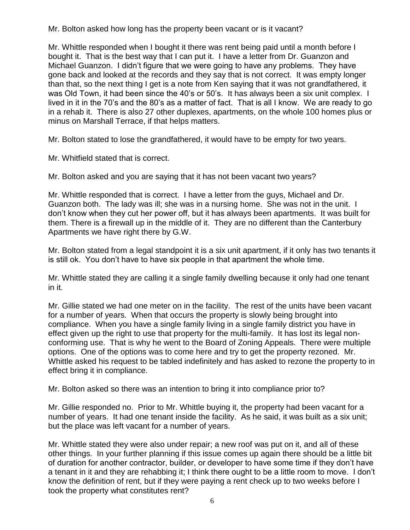Mr. Bolton asked how long has the property been vacant or is it vacant?

Mr. Whittle responded when I bought it there was rent being paid until a month before I bought it. That is the best way that I can put it. I have a letter from Dr. Guanzon and Michael Guanzon. I didn't figure that we were going to have any problems. They have gone back and looked at the records and they say that is not correct. It was empty longer than that, so the next thing I get is a note from Ken saying that it was not grandfathered, it was Old Town, it had been since the 40's or 50's. It has always been a six unit complex. I lived in it in the 70's and the 80's as a matter of fact. That is all I know. We are ready to go in a rehab it. There is also 27 other duplexes, apartments, on the whole 100 homes plus or minus on Marshall Terrace, if that helps matters.

Mr. Bolton stated to lose the grandfathered, it would have to be empty for two years.

Mr. Whitfield stated that is correct.

Mr. Bolton asked and you are saying that it has not been vacant two years?

Mr. Whittle responded that is correct. I have a letter from the guys, Michael and Dr. Guanzon both. The lady was ill; she was in a nursing home. She was not in the unit. I don't know when they cut her power off, but it has always been apartments. It was built for them. There is a firewall up in the middle of it. They are no different than the Canterbury Apartments we have right there by G.W.

Mr. Bolton stated from a legal standpoint it is a six unit apartment, if it only has two tenants it is still ok. You don't have to have six people in that apartment the whole time.

Mr. Whittle stated they are calling it a single family dwelling because it only had one tenant in it.

Mr. Gillie stated we had one meter on in the facility. The rest of the units have been vacant for a number of years. When that occurs the property is slowly being brought into compliance. When you have a single family living in a single family district you have in effect given up the right to use that property for the multi-family. It has lost its legal nonconforming use. That is why he went to the Board of Zoning Appeals. There were multiple options. One of the options was to come here and try to get the property rezoned. Mr. Whittle asked his request to be tabled indefinitely and has asked to rezone the property to in effect bring it in compliance.

Mr. Bolton asked so there was an intention to bring it into compliance prior to?

Mr. Gillie responded no. Prior to Mr. Whittle buying it, the property had been vacant for a number of years. It had one tenant inside the facility. As he said, it was built as a six unit; but the place was left vacant for a number of years.

Mr. Whittle stated they were also under repair; a new roof was put on it, and all of these other things. In your further planning if this issue comes up again there should be a little bit of duration for another contractor, builder, or developer to have some time if they don't have a tenant in it and they are rehabbing it; I think there ought to be a little room to move. I don't know the definition of rent, but if they were paying a rent check up to two weeks before I took the property what constitutes rent?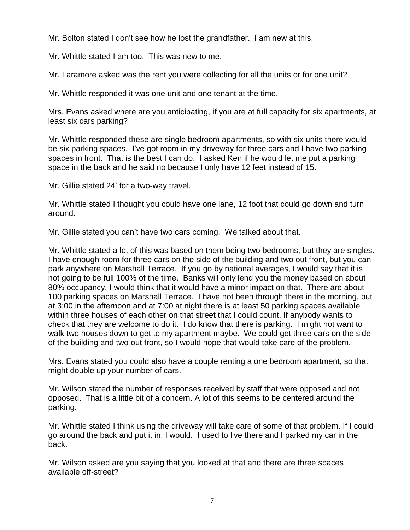Mr. Bolton stated I don't see how he lost the grandfather. I am new at this.

Mr. Whittle stated I am too. This was new to me.

Mr. Laramore asked was the rent you were collecting for all the units or for one unit?

Mr. Whittle responded it was one unit and one tenant at the time.

Mrs. Evans asked where are you anticipating, if you are at full capacity for six apartments, at least six cars parking?

Mr. Whittle responded these are single bedroom apartments, so with six units there would be six parking spaces. I've got room in my driveway for three cars and I have two parking spaces in front. That is the best I can do. I asked Ken if he would let me put a parking space in the back and he said no because I only have 12 feet instead of 15.

Mr. Gillie stated 24' for a two-way travel.

Mr. Whittle stated I thought you could have one lane, 12 foot that could go down and turn around.

Mr. Gillie stated you can't have two cars coming. We talked about that.

Mr. Whittle stated a lot of this was based on them being two bedrooms, but they are singles. I have enough room for three cars on the side of the building and two out front, but you can park anywhere on Marshall Terrace. If you go by national averages, I would say that it is not going to be full 100% of the time. Banks will only lend you the money based on about 80% occupancy. I would think that it would have a minor impact on that. There are about 100 parking spaces on Marshall Terrace. I have not been through there in the morning, but at 3:00 in the afternoon and at 7:00 at night there is at least 50 parking spaces available within three houses of each other on that street that I could count. If anybody wants to check that they are welcome to do it. I do know that there is parking. I might not want to walk two houses down to get to my apartment maybe. We could get three cars on the side of the building and two out front, so I would hope that would take care of the problem.

Mrs. Evans stated you could also have a couple renting a one bedroom apartment, so that might double up your number of cars.

Mr. Wilson stated the number of responses received by staff that were opposed and not opposed. That is a little bit of a concern. A lot of this seems to be centered around the parking.

Mr. Whittle stated I think using the driveway will take care of some of that problem. If I could go around the back and put it in, I would. I used to live there and I parked my car in the back.

Mr. Wilson asked are you saying that you looked at that and there are three spaces available off-street?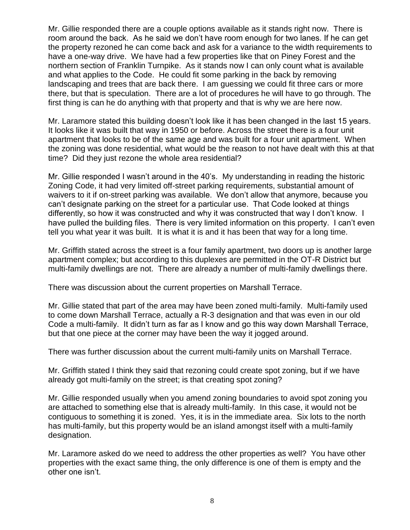Mr. Gillie responded there are a couple options available as it stands right now. There is room around the back. As he said we don't have room enough for two lanes. If he can get the property rezoned he can come back and ask for a variance to the width requirements to have a one-way drive. We have had a few properties like that on Piney Forest and the northern section of Franklin Turnpike. As it stands now I can only count what is available and what applies to the Code. He could fit some parking in the back by removing landscaping and trees that are back there. I am guessing we could fit three cars or more there, but that is speculation. There are a lot of procedures he will have to go through. The first thing is can he do anything with that property and that is why we are here now.

Mr. Laramore stated this building doesn't look like it has been changed in the last 15 years. It looks like it was built that way in 1950 or before. Across the street there is a four unit apartment that looks to be of the same age and was built for a four unit apartment. When the zoning was done residential, what would be the reason to not have dealt with this at that time? Did they just rezone the whole area residential?

Mr. Gillie responded I wasn't around in the 40's. My understanding in reading the historic Zoning Code, it had very limited off-street parking requirements, substantial amount of waivers to it if on-street parking was available. We don't allow that anymore, because you can't designate parking on the street for a particular use. That Code looked at things differently, so how it was constructed and why it was constructed that way I don't know. I have pulled the building files. There is very limited information on this property. I can't even tell you what year it was built. It is what it is and it has been that way for a long time.

Mr. Griffith stated across the street is a four family apartment, two doors up is another large apartment complex; but according to this duplexes are permitted in the OT-R District but multi-family dwellings are not. There are already a number of multi-family dwellings there.

There was discussion about the current properties on Marshall Terrace.

Mr. Gillie stated that part of the area may have been zoned multi-family. Multi-family used to come down Marshall Terrace, actually a R-3 designation and that was even in our old Code a multi-family. It didn't turn as far as I know and go this way down Marshall Terrace, but that one piece at the corner may have been the way it jogged around.

There was further discussion about the current multi-family units on Marshall Terrace.

Mr. Griffith stated I think they said that rezoning could create spot zoning, but if we have already got multi-family on the street; is that creating spot zoning?

Mr. Gillie responded usually when you amend zoning boundaries to avoid spot zoning you are attached to something else that is already multi-family. In this case, it would not be contiguous to something it is zoned. Yes, it is in the immediate area. Six lots to the north has multi-family, but this property would be an island amongst itself with a multi-family designation.

Mr. Laramore asked do we need to address the other properties as well? You have other properties with the exact same thing, the only difference is one of them is empty and the other one isn't.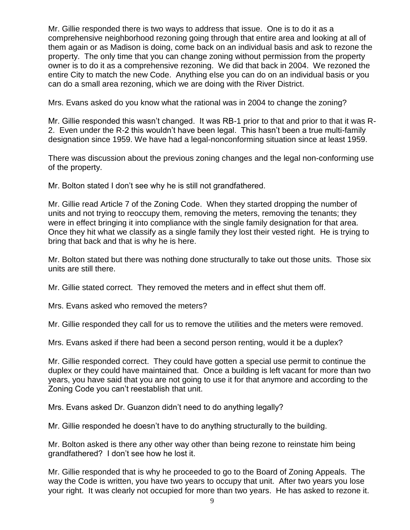Mr. Gillie responded there is two ways to address that issue. One is to do it as a comprehensive neighborhood rezoning going through that entire area and looking at all of them again or as Madison is doing, come back on an individual basis and ask to rezone the property. The only time that you can change zoning without permission from the property owner is to do it as a comprehensive rezoning. We did that back in 2004. We rezoned the entire City to match the new Code. Anything else you can do on an individual basis or you can do a small area rezoning, which we are doing with the River District.

Mrs. Evans asked do you know what the rational was in 2004 to change the zoning?

Mr. Gillie responded this wasn't changed. It was RB-1 prior to that and prior to that it was R-2. Even under the R-2 this wouldn't have been legal. This hasn't been a true multi-family designation since 1959. We have had a legal-nonconforming situation since at least 1959.

There was discussion about the previous zoning changes and the legal non-conforming use of the property.

Mr. Bolton stated I don't see why he is still not grandfathered.

Mr. Gillie read Article 7 of the Zoning Code. When they started dropping the number of units and not trying to reoccupy them, removing the meters, removing the tenants; they were in effect bringing it into compliance with the single family designation for that area. Once they hit what we classify as a single family they lost their vested right. He is trying to bring that back and that is why he is here.

Mr. Bolton stated but there was nothing done structurally to take out those units. Those six units are still there.

Mr. Gillie stated correct. They removed the meters and in effect shut them off.

Mrs. Evans asked who removed the meters?

Mr. Gillie responded they call for us to remove the utilities and the meters were removed.

Mrs. Evans asked if there had been a second person renting, would it be a duplex?

Mr. Gillie responded correct. They could have gotten a special use permit to continue the duplex or they could have maintained that. Once a building is left vacant for more than two years, you have said that you are not going to use it for that anymore and according to the Zoning Code you can't reestablish that unit.

Mrs. Evans asked Dr. Guanzon didn't need to do anything legally?

Mr. Gillie responded he doesn't have to do anything structurally to the building.

Mr. Bolton asked is there any other way other than being rezone to reinstate him being grandfathered? I don't see how he lost it.

Mr. Gillie responded that is why he proceeded to go to the Board of Zoning Appeals. The way the Code is written, you have two years to occupy that unit. After two years you lose your right. It was clearly not occupied for more than two years. He has asked to rezone it.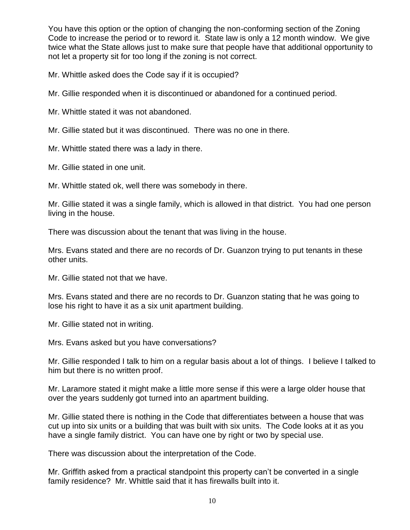You have this option or the option of changing the non-conforming section of the Zoning Code to increase the period or to reword it. State law is only a 12 month window. We give twice what the State allows just to make sure that people have that additional opportunity to not let a property sit for too long if the zoning is not correct.

Mr. Whittle asked does the Code say if it is occupied?

Mr. Gillie responded when it is discontinued or abandoned for a continued period.

Mr. Whittle stated it was not abandoned.

Mr. Gillie stated but it was discontinued. There was no one in there.

Mr. Whittle stated there was a lady in there.

Mr. Gillie stated in one unit.

Mr. Whittle stated ok, well there was somebody in there.

Mr. Gillie stated it was a single family, which is allowed in that district. You had one person living in the house.

There was discussion about the tenant that was living in the house.

Mrs. Evans stated and there are no records of Dr. Guanzon trying to put tenants in these other units.

Mr. Gillie stated not that we have.

Mrs. Evans stated and there are no records to Dr. Guanzon stating that he was going to lose his right to have it as a six unit apartment building.

Mr. Gillie stated not in writing.

Mrs. Evans asked but you have conversations?

Mr. Gillie responded I talk to him on a regular basis about a lot of things. I believe I talked to him but there is no written proof.

Mr. Laramore stated it might make a little more sense if this were a large older house that over the years suddenly got turned into an apartment building.

Mr. Gillie stated there is nothing in the Code that differentiates between a house that was cut up into six units or a building that was built with six units. The Code looks at it as you have a single family district. You can have one by right or two by special use.

There was discussion about the interpretation of the Code.

Mr. Griffith asked from a practical standpoint this property can't be converted in a single family residence? Mr. Whittle said that it has firewalls built into it.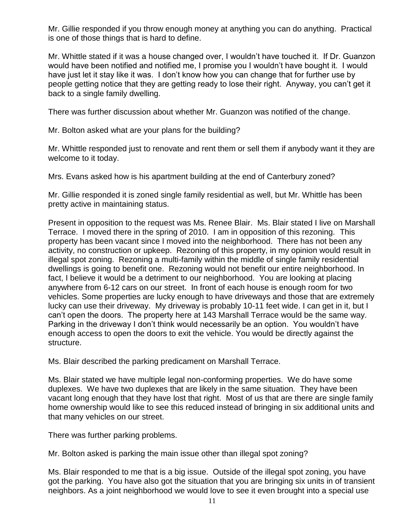Mr. Gillie responded if you throw enough money at anything you can do anything. Practical is one of those things that is hard to define.

Mr. Whittle stated if it was a house changed over, I wouldn't have touched it. If Dr. Guanzon would have been notified and notified me, I promise you I wouldn't have bought it. I would have just let it stay like it was. I don't know how you can change that for further use by people getting notice that they are getting ready to lose their right. Anyway, you can't get it back to a single family dwelling.

There was further discussion about whether Mr. Guanzon was notified of the change.

Mr. Bolton asked what are your plans for the building?

Mr. Whittle responded just to renovate and rent them or sell them if anybody want it they are welcome to it today.

Mrs. Evans asked how is his apartment building at the end of Canterbury zoned?

Mr. Gillie responded it is zoned single family residential as well, but Mr. Whittle has been pretty active in maintaining status.

Present in opposition to the request was Ms. Renee Blair. Ms. Blair stated I live on Marshall Terrace. I moved there in the spring of 2010. I am in opposition of this rezoning. This property has been vacant since I moved into the neighborhood. There has not been any activity, no construction or upkeep. Rezoning of this property, in my opinion would result in illegal spot zoning. Rezoning a multi-family within the middle of single family residential dwellings is going to benefit one. Rezoning would not benefit our entire neighborhood. In fact, I believe it would be a detriment to our neighborhood. You are looking at placing anywhere from 6-12 cars on our street. In front of each house is enough room for two vehicles. Some properties are lucky enough to have driveways and those that are extremely lucky can use their driveway. My driveway is probably 10-11 feet wide. I can get in it, but I can't open the doors. The property here at 143 Marshall Terrace would be the same way. Parking in the driveway I don't think would necessarily be an option. You wouldn't have enough access to open the doors to exit the vehicle. You would be directly against the structure.

Ms. Blair described the parking predicament on Marshall Terrace.

Ms. Blair stated we have multiple legal non-conforming properties. We do have some duplexes. We have two duplexes that are likely in the same situation. They have been vacant long enough that they have lost that right. Most of us that are there are single family home ownership would like to see this reduced instead of bringing in six additional units and that many vehicles on our street.

There was further parking problems.

Mr. Bolton asked is parking the main issue other than illegal spot zoning?

Ms. Blair responded to me that is a big issue. Outside of the illegal spot zoning, you have got the parking. You have also got the situation that you are bringing six units in of transient neighbors. As a joint neighborhood we would love to see it even brought into a special use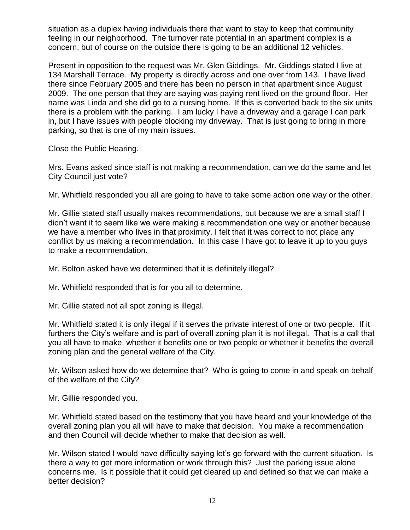situation as a duplex having individuals there that want to stay to keep that community feeling in our neighborhood. The turnover rate potential in an apartment complex is a concern, but of course on the outside there is going to be an additional 12 vehicles.

Present in opposition to the request was Mr. Glen Giddings. Mr. Giddings stated I live at 134 Marshall Terrace. My property is directly across and one over from 143. I have lived there since February 2005 and there has been no person in that apartment since August 2009. The one person that they are saying was paying rent lived on the ground floor. Her name was Linda and she did go to a nursing home. If this is converted back to the six units there is a problem with the parking. I am lucky I have a driveway and a garage I can park in, but I have issues with people blocking my driveway. That is just going to bring in more parking, so that is one of my main issues.

Close the Public Hearing.

Mrs. Evans asked since staff is not making a recommendation, can we do the same and let City Council just vote?

Mr. Whitfield responded you all are going to have to take some action one way or the other.

Mr. Gillie stated staff usually makes recommendations, but because we are a small staff I didn't want it to seem like we were making a recommendation one way or another because we have a member who lives in that proximity. I felt that it was correct to not place any conflict by us making a recommendation. In this case I have got to leave it up to you guys to make a recommendation.

Mr. Bolton asked have we determined that it is definitely illegal?

Mr. Whitfield responded that is for you all to determine.

Mr. Gillie stated not all spot zoning is illegal.

Mr. Whitfield stated it is only illegal if it serves the private interest of one or two people. If it furthers the City's welfare and is part of overall zoning plan it is not illegal. That is a call that you all have to make, whether it benefits one or two people or whether it benefits the overall zoning plan and the general welfare of the City.

Mr. Wilson asked how do we determine that? Who is going to come in and speak on behalf of the welfare of the City?

Mr. Gillie responded you.

Mr. Whitfield stated based on the testimony that you have heard and your knowledge of the overall zoning plan you all will have to make that decision. You make a recommendation and then Council will decide whether to make that decision as well.

Mr. Wilson stated I would have difficulty saying let's go forward with the current situation. Is there a way to get more information or work through this? Just the parking issue alone concerns me. Is it possible that it could get cleared up and defined so that we can make a better decision?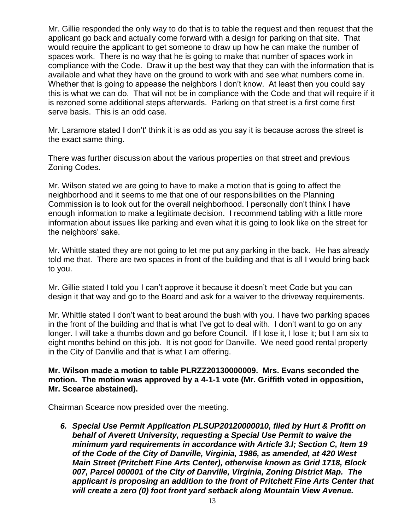Mr. Gillie responded the only way to do that is to table the request and then request that the applicant go back and actually come forward with a design for parking on that site. That would require the applicant to get someone to draw up how he can make the number of spaces work. There is no way that he is going to make that number of spaces work in compliance with the Code. Draw it up the best way that they can with the information that is available and what they have on the ground to work with and see what numbers come in. Whether that is going to appease the neighbors I don't know. At least then you could say this is what we can do. That will not be in compliance with the Code and that will require if it is rezoned some additional steps afterwards. Parking on that street is a first come first serve basis. This is an odd case.

Mr. Laramore stated I don't' think it is as odd as you say it is because across the street is the exact same thing.

There was further discussion about the various properties on that street and previous Zoning Codes.

Mr. Wilson stated we are going to have to make a motion that is going to affect the neighborhood and it seems to me that one of our responsibilities on the Planning Commission is to look out for the overall neighborhood. I personally don't think I have enough information to make a legitimate decision. I recommend tabling with a little more information about issues like parking and even what it is going to look like on the street for the neighbors' sake.

Mr. Whittle stated they are not going to let me put any parking in the back. He has already told me that. There are two spaces in front of the building and that is all I would bring back to you.

Mr. Gillie stated I told you I can't approve it because it doesn't meet Code but you can design it that way and go to the Board and ask for a waiver to the driveway requirements.

Mr. Whittle stated I don't want to beat around the bush with you. I have two parking spaces in the front of the building and that is what I've got to deal with. I don't want to go on any longer. I will take a thumbs down and go before Council. If I lose it, I lose it; but I am six to eight months behind on this job. It is not good for Danville. We need good rental property in the City of Danville and that is what I am offering.

### **Mr. Wilson made a motion to table PLRZZ20130000009. Mrs. Evans seconded the motion. The motion was approved by a 4-1-1 vote (Mr. Griffith voted in opposition, Mr. Scearce abstained).**

Chairman Scearce now presided over the meeting.

*6. Special Use Permit Application PLSUP20120000010, filed by Hurt & Profitt on behalf of Averett University, requesting a Special Use Permit to waive the minimum yard requirements in accordance with Article 3.I; Section C, Item 19 of the Code of the City of Danville, Virginia, 1986, as amended, at 420 West Main Street (Pritchett Fine Arts Center), otherwise known as Grid 1718, Block 007, Parcel 000001 of the City of Danville, Virginia, Zoning District Map. The applicant is proposing an addition to the front of Pritchett Fine Arts Center that will create a zero (0) foot front yard setback along Mountain View Avenue.*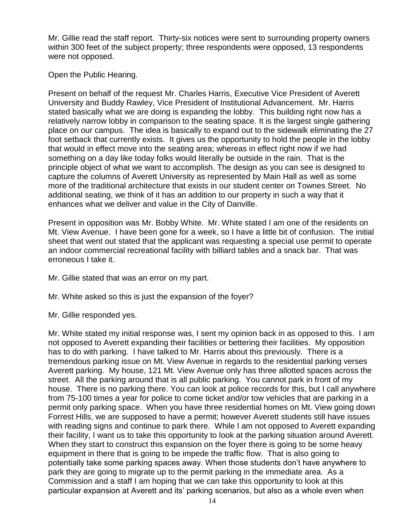Mr. Gillie read the staff report. Thirty-six notices were sent to surrounding property owners within 300 feet of the subject property; three respondents were opposed, 13 respondents were not opposed.

Open the Public Hearing.

Present on behalf of the request Mr. Charles Harris, Executive Vice President of Averett University and Buddy Rawley, Vice President of Institutional Advancement. Mr. Harris stated basically what we are doing is expanding the lobby. This building right now has a relatively narrow lobby in comparison to the seating space. It is the largest single gathering place on our campus. The idea is basically to expand out to the sidewalk eliminating the 27 foot setback that currently exists. It gives us the opportunity to hold the people in the lobby that would in effect move into the seating area; whereas in effect right now if we had something on a day like today folks would literally be outside in the rain. That is the principle object of what we want to accomplish. The design as you can see is designed to capture the columns of Averett University as represented by Main Hall as well as some more of the traditional architecture that exists in our student center on Townes Street. No additional seating, we think of it has an addition to our property in such a way that it enhances what we deliver and value in the City of Danville.

Present in opposition was Mr. Bobby White. Mr. White stated I am one of the residents on Mt. View Avenue. I have been gone for a week, so I have a little bit of confusion. The initial sheet that went out stated that the applicant was requesting a special use permit to operate an indoor commercial recreational facility with billiard tables and a snack bar. That was erroneous I take it.

Mr. Gillie stated that was an error on my part.

Mr. White asked so this is just the expansion of the foyer?

Mr. Gillie responded yes.

Mr. White stated my initial response was, I sent my opinion back in as opposed to this. I am not opposed to Averett expanding their facilities or bettering their facilities. My opposition has to do with parking. I have talked to Mr. Harris about this previously. There is a tremendous parking issue on Mt. View Avenue in regards to the residential parking verses Averett parking. My house, 121 Mt. View Avenue only has three allotted spaces across the street. All the parking around that is all public parking. You cannot park in front of my house. There is no parking there. You can look at police records for this, but I call anywhere from 75-100 times a year for police to come ticket and/or tow vehicles that are parking in a permit only parking space. When you have three residential homes on Mt. View going down Forrest Hills, we are supposed to have a permit; however Averett students still have issues with reading signs and continue to park there. While I am not opposed to Averett expanding their facility, I want us to take this opportunity to look at the parking situation around Averett. When they start to construct this expansion on the foyer there is going to be some heavy equipment in there that is going to be impede the traffic flow. That is also going to potentially take some parking spaces away. When those students don't have anywhere to park they are going to migrate up to the permit parking in the immediate area. As a Commission and a staff I am hoping that we can take this opportunity to look at this particular expansion at Averett and its' parking scenarios, but also as a whole even when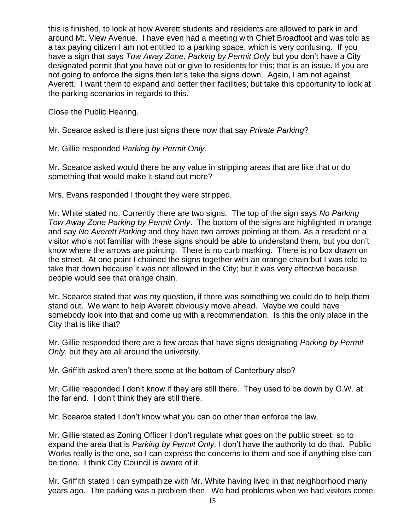this is finished, to look at how Averett students and residents are allowed to park in and around Mt. View Avenue. I have even had a meeting with Chief Broadfoot and was told as a tax paying citizen I am not entitled to a parking space, which is very confusing. If you have a sign that says *Tow Away Zone, Parking by Permit Only* but you don't have a City designated permit that you have out or give to residents for this; that is an issue. If you are not going to enforce the signs then let's take the signs down. Again, I am not against Averett. I want them to expand and better their facilities; but take this opportunity to look at the parking scenarios in regards to this.

Close the Public Hearing.

Mr. Scearce asked is there just signs there now that say *Private Parking*?

Mr. Gillie responded *Parking by Permit Only*.

Mr. Scearce asked would there be any value in stripping areas that are like that or do something that would make it stand out more?

Mrs. Evans responded I thought they were stripped.

Mr. White stated no. Currently there are two signs. The top of the sign says *No Parking Tow Away Zone Parking by Permit Only*. The bottom of the signs are highlighted in orange and say *No Averett Parking* and they have two arrows pointing at them. As a resident or a visitor who's not familiar with these signs should be able to understand them, but you don't know where the arrows are pointing. There is no curb marking. There is no box drawn on the street. At one point I chained the signs together with an orange chain but I was told to take that down because it was not allowed in the City; but it was very effective because people would see that orange chain.

Mr. Scearce stated that was my question, if there was something we could do to help them stand out. We want to help Averett obviously move ahead. Maybe we could have somebody look into that and come up with a recommendation. Is this the only place in the City that is like that?

Mr. Gillie responded there are a few areas that have signs designating *Parking by Permit Only*, but they are all around the university.

Mr. Griffith asked aren't there some at the bottom of Canterbury also?

Mr. Gillie responded I don't know if they are still there. They used to be down by G.W. at the far end. I don't think they are still there.

Mr. Scearce stated I don't know what you can do other than enforce the law.

Mr. Gillie stated as Zoning Officer I don't regulate what goes on the public street, so to expand the area that is *Parking by Permit Only,* I don't have the authority to do that. Public Works really is the one, so I can express the concerns to them and see if anything else can be done. I think City Council is aware of it.

Mr. Griffith stated I can sympathize with Mr. White having lived in that neighborhood many years ago. The parking was a problem then. We had problems when we had visitors come.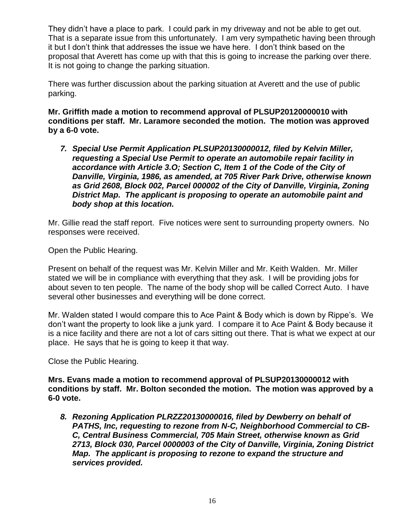They didn't have a place to park. I could park in my driveway and not be able to get out. That is a separate issue from this unfortunately. I am very sympathetic having been through it but I don't think that addresses the issue we have here. I don't think based on the proposal that Averett has come up with that this is going to increase the parking over there. It is not going to change the parking situation.

There was further discussion about the parking situation at Averett and the use of public parking.

**Mr. Griffith made a motion to recommend approval of PLSUP20120000010 with conditions per staff. Mr. Laramore seconded the motion. The motion was approved by a 6-0 vote.**

*7. Special Use Permit Application PLSUP20130000012, filed by Kelvin Miller, requesting a Special Use Permit to operate an automobile repair facility in accordance with Article 3.O; Section C, Item 1 of the Code of the City of Danville, Virginia, 1986, as amended, at 705 River Park Drive, otherwise known as Grid 2608, Block 002, Parcel 000002 of the City of Danville, Virginia, Zoning District Map. The applicant is proposing to operate an automobile paint and body shop at this location.*

Mr. Gillie read the staff report. Five notices were sent to surrounding property owners. No responses were received.

Open the Public Hearing.

Present on behalf of the request was Mr. Kelvin Miller and Mr. Keith Walden. Mr. Miller stated we will be in compliance with everything that they ask. I will be providing jobs for about seven to ten people. The name of the body shop will be called Correct Auto. I have several other businesses and everything will be done correct.

Mr. Walden stated I would compare this to Ace Paint & Body which is down by Rippe's. We don't want the property to look like a junk yard. I compare it to Ace Paint & Body because it is a nice facility and there are not a lot of cars sitting out there. That is what we expect at our place. He says that he is going to keep it that way.

Close the Public Hearing.

**Mrs. Evans made a motion to recommend approval of PLSUP20130000012 with conditions by staff. Mr. Bolton seconded the motion. The motion was approved by a 6-0 vote.**

*8. Rezoning Application PLRZZ20130000016, filed by Dewberry on behalf of PATHS, Inc, requesting to rezone from N-C, Neighborhood Commercial to CB-C, Central Business Commercial, 705 Main Street, otherwise known as Grid 2713, Block 030, Parcel 0000003 of the City of Danville, Virginia, Zoning District Map. The applicant is proposing to rezone to expand the structure and services provided.*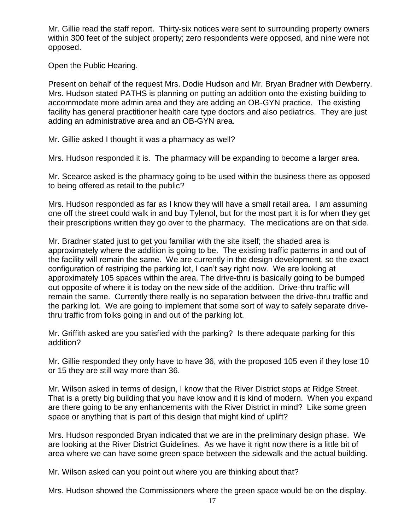Mr. Gillie read the staff report. Thirty-six notices were sent to surrounding property owners within 300 feet of the subject property; zero respondents were opposed, and nine were not opposed.

Open the Public Hearing.

Present on behalf of the request Mrs. Dodie Hudson and Mr. Bryan Bradner with Dewberry. Mrs. Hudson stated PATHS is planning on putting an addition onto the existing building to accommodate more admin area and they are adding an OB-GYN practice. The existing facility has general practitioner health care type doctors and also pediatrics. They are just adding an administrative area and an OB-GYN area.

Mr. Gillie asked I thought it was a pharmacy as well?

Mrs. Hudson responded it is. The pharmacy will be expanding to become a larger area.

Mr. Scearce asked is the pharmacy going to be used within the business there as opposed to being offered as retail to the public?

Mrs. Hudson responded as far as I know they will have a small retail area. I am assuming one off the street could walk in and buy Tylenol, but for the most part it is for when they get their prescriptions written they go over to the pharmacy. The medications are on that side.

Mr. Bradner stated just to get you familiar with the site itself; the shaded area is approximately where the addition is going to be. The existing traffic patterns in and out of the facility will remain the same. We are currently in the design development, so the exact configuration of restriping the parking lot, I can't say right now. We are looking at approximately 105 spaces within the area. The drive-thru is basically going to be bumped out opposite of where it is today on the new side of the addition. Drive-thru traffic will remain the same. Currently there really is no separation between the drive-thru traffic and the parking lot. We are going to implement that some sort of way to safely separate drivethru traffic from folks going in and out of the parking lot.

Mr. Griffith asked are you satisfied with the parking? Is there adequate parking for this addition?

Mr. Gillie responded they only have to have 36, with the proposed 105 even if they lose 10 or 15 they are still way more than 36.

Mr. Wilson asked in terms of design, I know that the River District stops at Ridge Street. That is a pretty big building that you have know and it is kind of modern. When you expand are there going to be any enhancements with the River District in mind? Like some green space or anything that is part of this design that might kind of uplift?

Mrs. Hudson responded Bryan indicated that we are in the preliminary design phase. We are looking at the River District Guidelines. As we have it right now there is a little bit of area where we can have some green space between the sidewalk and the actual building.

Mr. Wilson asked can you point out where you are thinking about that?

Mrs. Hudson showed the Commissioners where the green space would be on the display.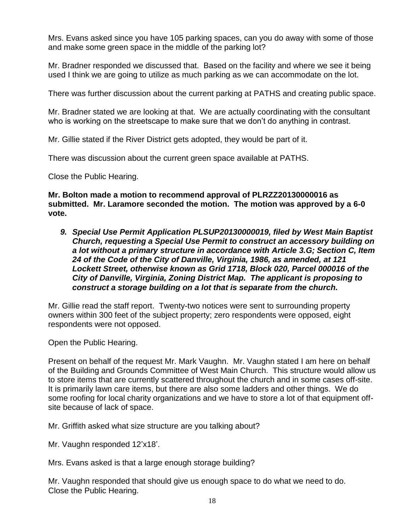Mrs. Evans asked since you have 105 parking spaces, can you do away with some of those and make some green space in the middle of the parking lot?

Mr. Bradner responded we discussed that. Based on the facility and where we see it being used I think we are going to utilize as much parking as we can accommodate on the lot.

There was further discussion about the current parking at PATHS and creating public space.

Mr. Bradner stated we are looking at that. We are actually coordinating with the consultant who is working on the streetscape to make sure that we don't do anything in contrast.

Mr. Gillie stated if the River District gets adopted, they would be part of it.

There was discussion about the current green space available at PATHS.

Close the Public Hearing.

**Mr. Bolton made a motion to recommend approval of PLRZZ20130000016 as submitted. Mr. Laramore seconded the motion. The motion was approved by a 6-0 vote.**

*9. Special Use Permit Application PLSUP20130000019, filed by West Main Baptist Church, requesting a Special Use Permit to construct an accessory building on a lot without a primary structure in accordance with Article 3.G; Section C, Item 24 of the Code of the City of Danville, Virginia, 1986, as amended, at 121 Lockett Street, otherwise known as Grid 1718, Block 020, Parcel 000016 of the City of Danville, Virginia, Zoning District Map. The applicant is proposing to construct a storage building on a lot that is separate from the church.*

Mr. Gillie read the staff report. Twenty-two notices were sent to surrounding property owners within 300 feet of the subject property; zero respondents were opposed, eight respondents were not opposed.

Open the Public Hearing.

Present on behalf of the request Mr. Mark Vaughn. Mr. Vaughn stated I am here on behalf of the Building and Grounds Committee of West Main Church. This structure would allow us to store items that are currently scattered throughout the church and in some cases off-site. It is primarily lawn care items, but there are also some ladders and other things. We do some roofing for local charity organizations and we have to store a lot of that equipment offsite because of lack of space.

Mr. Griffith asked what size structure are you talking about?

Mr. Vaughn responded 12'x18'.

Mrs. Evans asked is that a large enough storage building?

Mr. Vaughn responded that should give us enough space to do what we need to do. Close the Public Hearing.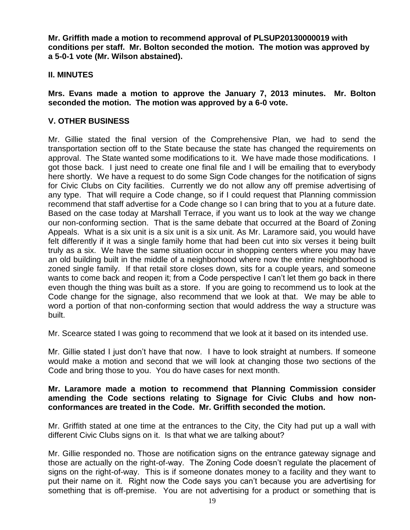**Mr. Griffith made a motion to recommend approval of PLSUP20130000019 with conditions per staff. Mr. Bolton seconded the motion. The motion was approved by a 5-0-1 vote (Mr. Wilson abstained).**

# **II. MINUTES**

**Mrs. Evans made a motion to approve the January 7, 2013 minutes. Mr. Bolton seconded the motion. The motion was approved by a 6-0 vote.**

# **V. OTHER BUSINESS**

Mr. Gillie stated the final version of the Comprehensive Plan, we had to send the transportation section off to the State because the state has changed the requirements on approval. The State wanted some modifications to it. We have made those modifications. I got those back. I just need to create one final file and I will be emailing that to everybody here shortly. We have a request to do some Sign Code changes for the notification of signs for Civic Clubs on City facilities. Currently we do not allow any off premise advertising of any type. That will require a Code change, so if I could request that Planning commission recommend that staff advertise for a Code change so I can bring that to you at a future date. Based on the case today at Marshall Terrace, if you want us to look at the way we change our non-conforming section. That is the same debate that occurred at the Board of Zoning Appeals. What is a six unit is a six unit is a six unit. As Mr. Laramore said, you would have felt differently if it was a single family home that had been cut into six verses it being built truly as a six. We have the same situation occur in shopping centers where you may have an old building built in the middle of a neighborhood where now the entire neighborhood is zoned single family. If that retail store closes down, sits for a couple years, and someone wants to come back and reopen it; from a Code perspective I can't let them go back in there even though the thing was built as a store. If you are going to recommend us to look at the Code change for the signage, also recommend that we look at that. We may be able to word a portion of that non-conforming section that would address the way a structure was built.

Mr. Scearce stated I was going to recommend that we look at it based on its intended use.

Mr. Gillie stated I just don't have that now. I have to look straight at numbers. If someone would make a motion and second that we will look at changing those two sections of the Code and bring those to you. You do have cases for next month.

## **Mr. Laramore made a motion to recommend that Planning Commission consider amending the Code sections relating to Signage for Civic Clubs and how nonconformances are treated in the Code. Mr. Griffith seconded the motion.**

Mr. Griffith stated at one time at the entrances to the City, the City had put up a wall with different Civic Clubs signs on it. Is that what we are talking about?

Mr. Gillie responded no. Those are notification signs on the entrance gateway signage and those are actually on the right-of-way. The Zoning Code doesn't regulate the placement of signs on the right-of-way. This is if someone donates money to a facility and they want to put their name on it. Right now the Code says you can't because you are advertising for something that is off-premise. You are not advertising for a product or something that is